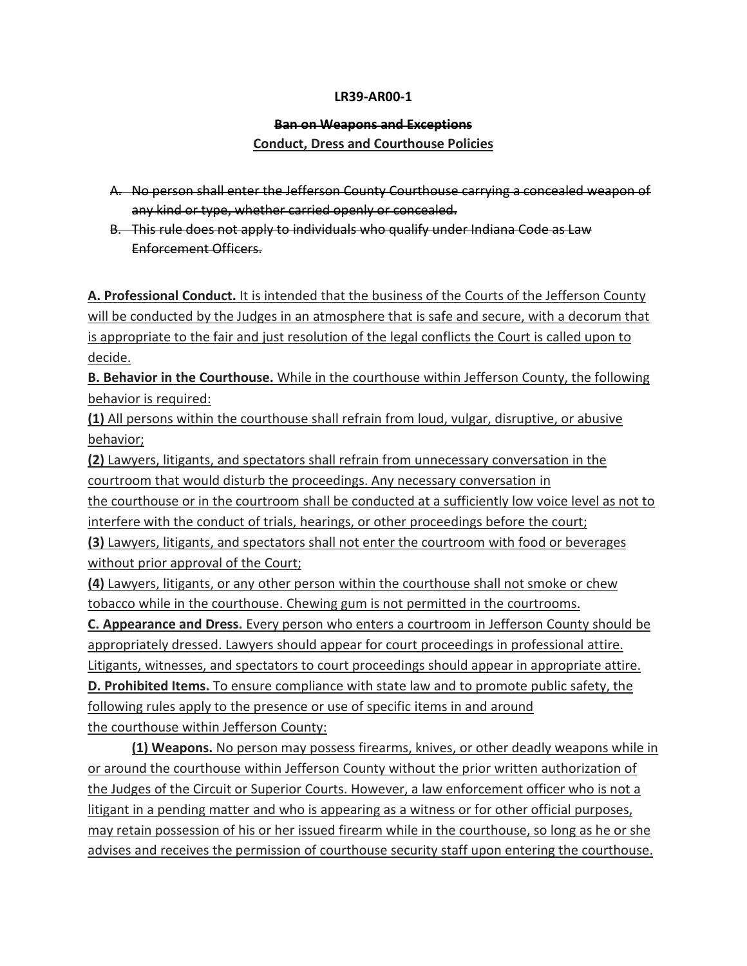## **LR39-AR00-1**

## **Ban on Weapons and Exceptions**

## **Conduct, Dress and Courthouse Policies**

- A. No person shall enter the Jefferson County Courthouse carrying a concealed weapon of any kind or type, whether carried openly or concealed.
- B. This rule does not apply to individuals who qualify under Indiana Code as Law Enforcement Officers.

**A. Professional Conduct.** It is intended that the business of the Courts of the Jefferson County will be conducted by the Judges in an atmosphere that is safe and secure, with a decorum that is appropriate to the fair and just resolution of the legal conflicts the Court is called upon to decide.

**B. Behavior in the Courthouse.** While in the courthouse within Jefferson County, the following behavior is required:

**(1)** All persons within the courthouse shall refrain from loud, vulgar, disruptive, or abusive behavior;

**(2)** Lawyers, litigants, and spectators shall refrain from unnecessary conversation in the courtroom that would disturb the proceedings. Any necessary conversation in the courthouse or in the courtroom shall be conducted at a sufficiently low voice level as not to

interfere with the conduct of trials, hearings, or other proceedings before the court;

**(3)** Lawyers, litigants, and spectators shall not enter the courtroom with food or beverages without prior approval of the Court;

**(4)** Lawyers, litigants, or any other person within the courthouse shall not smoke or chew tobacco while in the courthouse. Chewing gum is not permitted in the courtrooms.

**C. Appearance and Dress.** Every person who enters a courtroom in Jefferson County should be appropriately dressed. Lawyers should appear for court proceedings in professional attire. Litigants, witnesses, and spectators to court proceedings should appear in appropriate attire. **D. Prohibited Items.** To ensure compliance with state law and to promote public safety, the following rules apply to the presence or use of specific items in and around the courthouse within Jefferson County:

**(1) Weapons.** No person may possess firearms, knives, or other deadly weapons while in or around the courthouse within Jefferson County without the prior written authorization of the Judges of the Circuit or Superior Courts. However, a law enforcement officer who is not a litigant in a pending matter and who is appearing as a witness or for other official purposes, may retain possession of his or her issued firearm while in the courthouse, so long as he or she advises and receives the permission of courthouse security staff upon entering the courthouse.